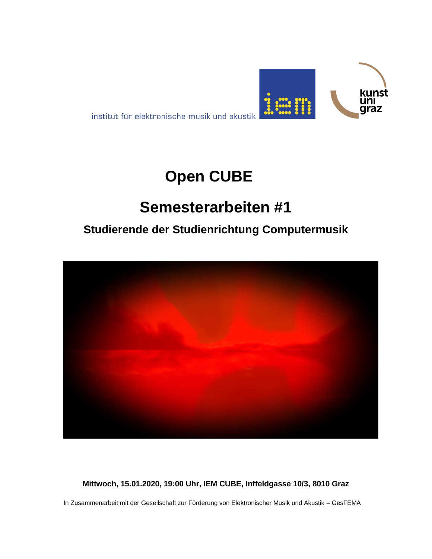

institut für elektronische musik und akustik

# **Open CUBE**

# **Semesterarbeiten #1**

## **Studierende der Studienrichtung Computermusik**



**Mittwoch, 15.01.2020, 19:00 Uhr, IEM CUBE, Inffeldgasse 10/3, 8010 Graz**

In Zusammenarbeit mit der Gesellschaft zur Förderung von Elektronischer Musik und Akustik – GesFEMA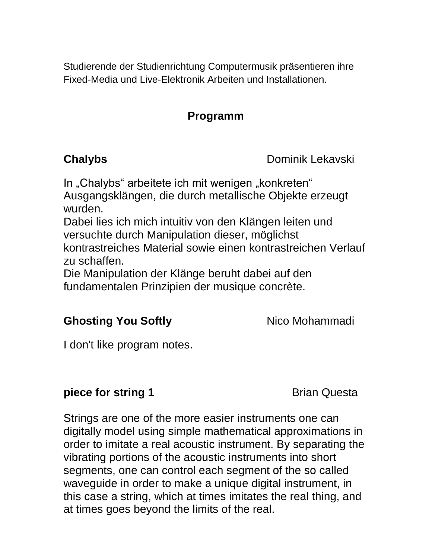Studierende der Studienrichtung Computermusik präsentieren ihre Fixed-Media und Live-Elektronik Arbeiten und Installationen.

### **Programm**

**Chalybs** Dominik Lekavski

In "Chalybs" arbeitete ich mit wenigen "konkreten" Ausgangsklängen, die durch metallische Objekte erzeugt wurden.

Dabei lies ich mich intuitiv von den Klängen leiten und versuchte durch Manipulation dieser, möglichst kontrastreiches Material sowie einen kontrastreichen Verlauf zu schaffen.

Die Manipulation der Klänge beruht dabei auf den fundamentalen Prinzipien der musique concrète.

### **Ghosting You Softly** Nico Mohammadi

I don't like program notes.

### **piece for string 1** Brian Questa

Strings are one of the more easier instruments one can digitally model using simple mathematical approximations in order to imitate a real acoustic instrument. By separating the vibrating portions of the acoustic instruments into short segments, one can control each segment of the so called waveguide in order to make a unique digital instrument, in this case a string, which at times imitates the real thing, and at times goes beyond the limits of the real.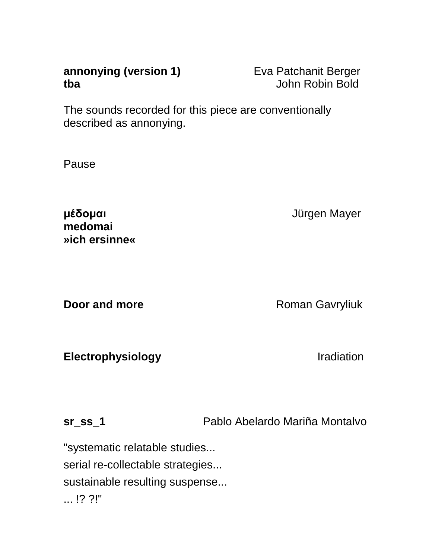| annonying (version 1) | Eva Patchanit Berger |
|-----------------------|----------------------|
| tba                   | John Robin Bold      |

The sounds recorded for this piece are conventionally described as annonying.

Pause

**μέδομαι** Jürgen Mayer **medomai »ich ersinne«**

**Door and more Roman Gavryliuk** 

**Electrophysiology Internal Internal Property** *Iradiation* 

**sr\_ss\_1** Pablo Abelardo Mariña Montalvo

"systematic relatable studies... serial re-collectable strategies... sustainable resulting suspense... ... !? ?!"